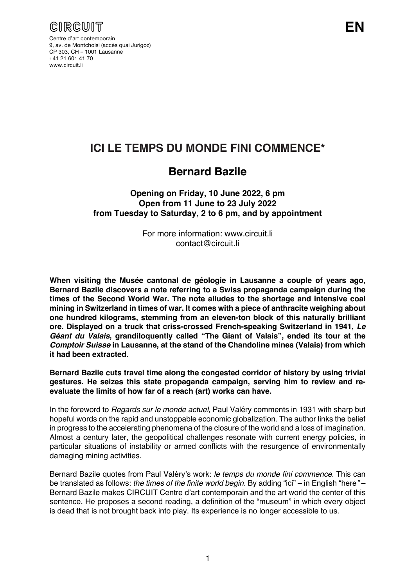

Centre d'art contemporain 9, av. de Montchoisi (accès quai Jurigoz) CP 303, CH – 1001 Lausanne +41 21 601 41 70 www.circuit.li

## **ICI LE TEMPS DU MONDE FINI COMMENCE\***

## **Bernard Bazile**

**Opening on Friday, 10 June 2022, 6 pm Open from 11 June to 23 July 2022 from Tuesday to Saturday, 2 to 6 pm, and by appointment**

> For more information: www.circuit.li contact@circuit.li

**When visiting the Musée cantonal de géologie in Lausanne a couple of years ago, Bernard Bazile discovers a note referring to a Swiss propaganda campaign during the times of the Second World War. The note alludes to the shortage and intensive coal mining in Switzerland in times of war. It comes with a piece of anthracite weighing about one hundred kilograms, stemming from an eleven-ton block of this naturally brilliant ore. Displayed on a truck that criss-crossed French-speaking Switzerland in 1941,** *Le Géant du Valais***, grandiloquently called "The Giant of Valais", ended its tour at the**  *Comptoir Suisse* **in Lausanne, at the stand of the Chandoline mines (Valais) from which it had been extracted.**

**Bernard Bazile cuts travel time along the congested corridor of history by using trivial gestures. He seizes this state propaganda campaign, serving him to review and reevaluate the limits of how far of a reach (art) works can have.**

In the foreword to *Regards sur le monde actuel*, Paul Valéry comments in 1931 with sharp but hopeful words on the rapid and unstoppable economic globalization. The author links the belief in progress to the accelerating phenomena of the closure of the world and a loss of imagination. Almost a century later, the geopolitical challenges resonate with current energy policies, in particular situations of instability or armed conflicts with the resurgence of environmentally damaging mining activities.

Bernard Bazile quotes from Paul Valéry's work: *le temps du monde fini commence*. This can be translated as follows: *the times of the finite world begin*. By adding "ici" – in English "here*"* – Bernard Bazile makes CIRCUIT Centre d'art contemporain and the art world the center of this sentence. He proposes a second reading, a definition of the "museum" in which every object is dead that is not brought back into play. Its experience is no longer accessible to us.